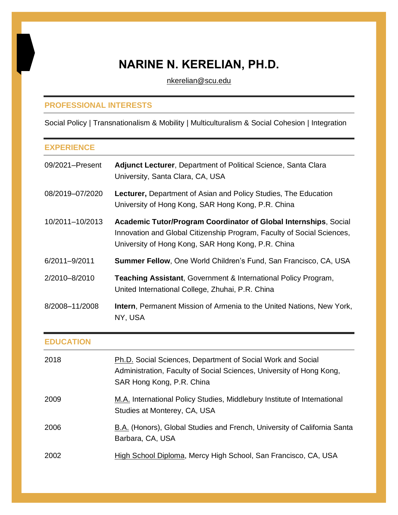# **NARINE N. KERELIAN, PH.D.**

[nkerelian@scu.edu](mailto:nkerelian@scu.edu)

# **PROFESSIONAL INTERESTS**

Social Policy | Transnationalism & Mobility | Multiculturalism & Social Cohesion | Integration

# **EXPERIENCE**

| 09/2021-Present  | <b>Adjunct Lecturer, Department of Political Science, Santa Clara</b><br>University, Santa Clara, CA, USA                                                                                               |
|------------------|---------------------------------------------------------------------------------------------------------------------------------------------------------------------------------------------------------|
| 08/2019-07/2020  | <b>Lecturer, Department of Asian and Policy Studies, The Education</b><br>University of Hong Kong, SAR Hong Kong, P.R. China                                                                            |
| 10/2011-10/2013  | <b>Academic Tutor/Program Coordinator of Global Internships, Social</b><br>Innovation and Global Citizenship Program, Faculty of Social Sciences,<br>University of Hong Kong, SAR Hong Kong, P.R. China |
| 6/2011-9/2011    | <b>Summer Fellow, One World Children's Fund, San Francisco, CA, USA</b>                                                                                                                                 |
| 2/2010-8/2010    | <b>Teaching Assistant, Government &amp; International Policy Program,</b><br>United International College, Zhuhai, P.R. China                                                                           |
| 8/2008-11/2008   | <b>Intern, Permanent Mission of Armenia to the United Nations, New York,</b><br>NY, USA                                                                                                                 |
| <b>EDUCATION</b> |                                                                                                                                                                                                         |

| 2018 | Ph.D. Social Sciences, Department of Social Work and Social<br>Administration, Faculty of Social Sciences, University of Hong Kong,<br>SAR Hong Kong, P.R. China |
|------|------------------------------------------------------------------------------------------------------------------------------------------------------------------|
| 2009 | M.A. International Policy Studies, Middlebury Institute of International<br>Studies at Monterey, CA, USA                                                         |
| 2006 | B.A. (Honors), Global Studies and French, University of California Santa<br>Barbara, CA, USA                                                                     |
| 2002 | High School Diploma, Mercy High School, San Francisco, CA, USA                                                                                                   |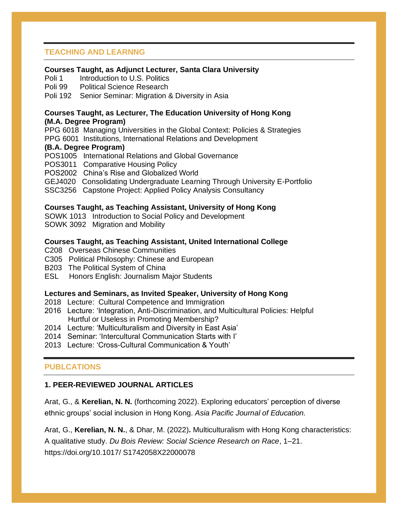# **TEACHING AND LEARNNG**

#### **Courses Taught, as Adjunct Lecturer, Santa Clara University**

Poli 1 Introduction to U.S. Politics

Poli 99 Political Science Research

Poli 192 Senior Seminar: Migration & Diversity in Asia

#### **Courses Taught, as Lecturer, The Education University of Hong Kong (M.A. Degree Program)**

PPG 6018 Managing Universities in the Global Context: Policies & Strategies PPG 6001 Institutions, International Relations and Development

#### **(B.A. Degree Program)**

POS1005 International Relations and Global Governance POS3011 Comparative Housing Policy POS2002 China's Rise and Globalized World GEJ4020 Consolidating Undergraduate Learning Through University E-Portfolio SSC3256 Capstone Project: Applied Policy Analysis Consultancy

#### **Courses Taught, as Teaching Assistant, University of Hong Kong**

SOWK 1013 Introduction to Social Policy and Development

SOWK 3092 Migration and Mobility

#### **Courses Taught, as Teaching Assistant, United International College**

- C208 Overseas Chinese Communities
- C305 Political Philosophy: Chinese and European
- B203 The Political System of China
- ESL Honors English: Journalism Major Students

#### **Lectures and Seminars, as Invited Speaker, University of Hong Kong**

- 2018 Lecture: Cultural Competence and Immigration
- 2016 Lecture: 'Integration, Anti-Discrimination, and Multicultural Policies: Helpful Hurtful or Useless in Promoting Membership?
- 2014 Lecture: 'Multiculturalism and Diversity in East Asia'
- 2014 Seminar: 'Intercultural Communication Starts with I'
- 2013 Lecture: 'Cross-Cultural Communication & Youth'

#### **PUBLCATIONS**

#### **1. PEER-REVIEWED JOURNAL ARTICLES**

Arat, G., & **Kerelian, N. N.** (forthcoming 2022). Exploring educators' perception of diverse ethnic groups' social inclusion in Hong Kong. *Asia Pacific Journal of Education.*

Arat, G., **Kerelian, N. N.**, & Dhar, M. (2022)**.** Multiculturalism with Hong Kong characteristics: A qualitative study. *Du Bois Review: Social Science Research on Race*, 1–21. https://doi.org/10.1017/ S1742058X22000078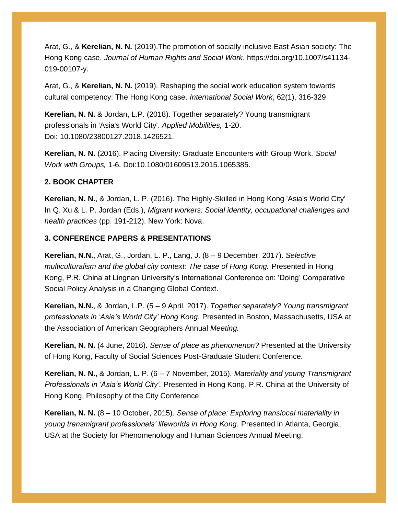Arat, G., & **Kerelian, N. N.** (2019).The promotion of socially inclusive East Asian society: The Hong Kong case. *Journal of Human Rights and Social Work*. https://doi.org/10.1007/s41134- 019-00107-y.

Arat, G., & **Kerelian, N. N.** (2019). Reshaping the social work education system towards cultural competency: The Hong Kong case. *International Social Work*, 62(1), 316-329.

**Kerelian, N. N.** & Jordan, L.P. (2018). Together separately? Young transmigrant professionals in 'Asia's World City'. *Applied Mobilities,* 1-20. Doi: 10.1080/23800127.2018.1426521.

**Kerelian, N. N.** (2016). Placing Diversity: Graduate Encounters with Group Work. *Social Work with Groups,* 1-6. Doi:10.1080/01609513.2015.1065385.

## **2. BOOK CHAPTER**

**Kerelian, N. N.**, & Jordan, L. P. (2016). The Highly-Skilled in Hong Kong 'Asia's World City' In Q. Xu & L. P. Jordan (Eds.), *Migrant workers: Social identity, occupational challenges and health practices* (pp. 191-212). New York: Nova.

## **3. CONFERENCE PAPERS & PRESENTATIONS**

**Kerelian, N.N.**, Arat, G., Jordan, L. P., Lang, J. (8 – 9 December, 2017). *Selective multiculturalism and the global city context: The case of Hong Kong. Presented in Hong* Kong, P.R. China at Lingnan University's International Conference on: 'Doing' Comparative Social Policy Analysis in a Changing Global Context.

**Kerelian, N.N.**, & Jordan, L.P. (5 – 9 April, 2017). *Together separately? Young transmigrant professionals in 'Asia's World City' Hong Kong.* Presented in Boston, Massachusetts, USA at the Association of American Geographers Annual *Meeting.*

**Kerelian, N. N.** (4 June, 2016). *Sense of place as phenomenon?* Presented at the University of Hong Kong, Faculty of Social Sciences Post-Graduate Student Conference.

**Kerelian, N. N.**, & Jordan, L. P. (6 – 7 November, 2015). *Materiality and young Transmigrant Professionals in 'Asia's World City'.* Presented in Hong Kong, P.R. China at the University of Hong Kong, Philosophy of the City Conference.

**Kerelian, N. N.** (8 – 10 October, 2015). *Sense of place: Exploring translocal materiality in young transmigrant professionals' lifeworlds in Hong Kong.* Presented in Atlanta, Georgia, USA at the Society for Phenomenology and Human Sciences Annual Meeting.